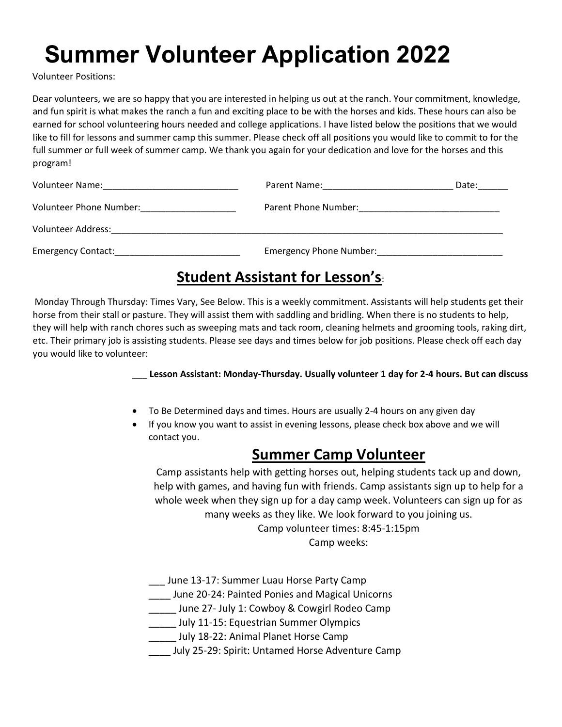Volunteer Positions:

Dear volunteers, we are so happy that you are interested in helping us out at the ranch. Your commitment, knowledge, and fun spirit is what makes the ranch a fun and exciting place to be with the horses and kids. These hours can also be earned for school volunteering hours needed and college applications. I have listed below the positions that we would like to fill for lessons and summer camp this summer. Please check off all positions you would like to commit to for the full summer or full week of summer camp. We thank you again for your dedication and love for the horses and this program!

| Volunteer Name:           | Parent Name: The contract of the contract of the contract of the contract of the contract of the contract of the contract of the contract of the contract of the contract of the contract of the contract of the contract of t | Date: |
|---------------------------|--------------------------------------------------------------------------------------------------------------------------------------------------------------------------------------------------------------------------------|-------|
| Volunteer Phone Number:   | Parent Phone Number:                                                                                                                                                                                                           |       |
| Volunteer Address:        |                                                                                                                                                                                                                                |       |
| <b>Emergency Contact:</b> | <b>Emergency Phone Number:</b>                                                                                                                                                                                                 |       |

### **Student Assistant for Lesson's**:

Monday Through Thursday: Times Vary, See Below. This is a weekly commitment. Assistants will help students get their horse from their stall or pasture. They will assist them with saddling and bridling. When there is no students to help, they will help with ranch chores such as sweeping mats and tack room, cleaning helmets and grooming tools, raking dirt, etc. Their primary job is assisting students. Please see days and times below for job positions. Please check off each day you would like to volunteer:

\_\_\_ **Lesson Assistant: Monday-Thursday. Usually volunteer 1 day for 2-4 hours. But can discuss**

- To Be Determined days and times. Hours are usually 2-4 hours on any given day
- If you know you want to assist in evening lessons, please check box above and we will contact you.

#### **Summer Camp Volunteer**

Camp assistants help with getting horses out, helping students tack up and down, help with games, and having fun with friends. Camp assistants sign up to help for a whole week when they sign up for a day camp week. Volunteers can sign up for as many weeks as they like. We look forward to you joining us.

> Camp volunteer times: 8:45-1:15pm Camp weeks:

- \_\_\_ June 13-17: Summer Luau Horse Party Camp
- \_\_\_\_ June 20-24: Painted Ponies and Magical Unicorns
- Local June 27- July 1: Cowboy & Cowgirl Rodeo Camp
- **\_\_\_\_\_** July 11-15: Equestrian Summer Olympics
- July 18-22: Animal Planet Horse Camp
- \_\_\_\_ July 25-29: Spirit: Untamed Horse Adventure Camp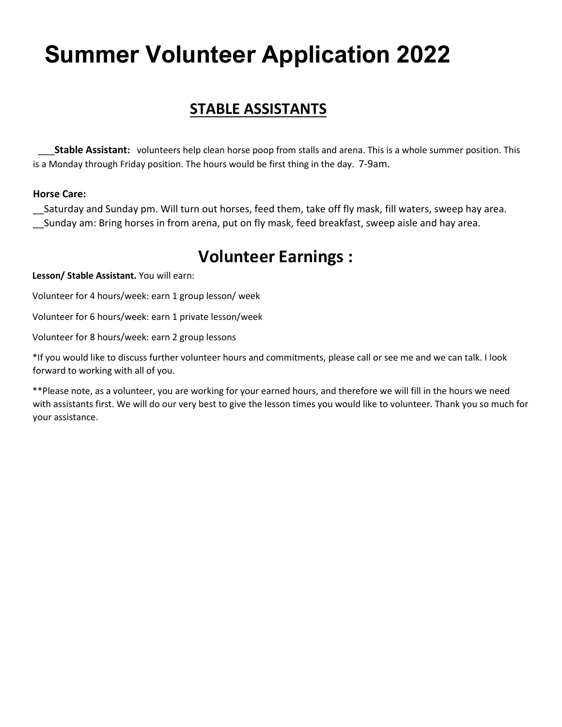#### **STABLE ASSISTANTS**

\_\_\_**Stable Assistant:** volunteers help clean horse poop from stalls and arena. This is a whole summer position. This is a Monday through Friday position. The hours would be first thing in the day. 7-9am.

#### **Horse Care:**

\_\_Saturday and Sunday pm. Will turn out horses, feed them, take off fly mask, fill waters, sweep hay area. Sunday am: Bring horses in from arena, put on fly mask, feed breakfast, sweep aisle and hay area.

### **Volunteer Earnings :**

**Lesson/ Stable Assistant.** You will earn:

Volunteer for 4 hours/week: earn 1 group lesson/ week

Volunteer for 6 hours/week: earn 1 private lesson/week

Volunteer for 8 hours/week: earn 2 group lessons

\*If you would like to discuss further volunteer hours and commitments, please call or see me and we can talk. I look forward to working with all of you.

\*\*Please note, as a volunteer, you are working for your earned hours, and therefore we will fill in the hours we need with assistants first. We will do our very best to give the lesson times you would like to volunteer. Thank you so much for your assistance.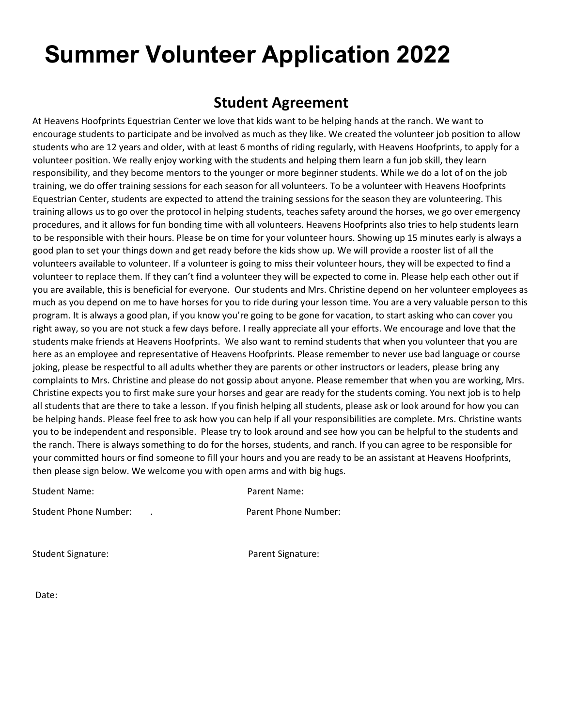#### **Student Agreement**

At Heavens Hoofprints Equestrian Center we love that kids want to be helping hands at the ranch. We want to encourage students to participate and be involved as much as they like. We created the volunteer job position to allow students who are 12 years and older, with at least 6 months of riding regularly, with Heavens Hoofprints, to apply for a volunteer position. We really enjoy working with the students and helping them learn a fun job skill, they learn responsibility, and they become mentors to the younger or more beginner students. While we do a lot of on the job training, we do offer training sessions for each season for all volunteers. To be a volunteer with Heavens Hoofprints Equestrian Center, students are expected to attend the training sessions for the season they are volunteering. This training allows us to go over the protocol in helping students, teaches safety around the horses, we go over emergency procedures, and it allows for fun bonding time with all volunteers. Heavens Hoofprints also tries to help students learn to be responsible with their hours. Please be on time for your volunteer hours. Showing up 15 minutes early is always a good plan to set your things down and get ready before the kids show up. We will provide a rooster list of all the volunteers available to volunteer. If a volunteer is going to miss their volunteer hours, they will be expected to find a volunteer to replace them. If they can't find a volunteer they will be expected to come in. Please help each other out if you are available, this is beneficial for everyone. Our students and Mrs. Christine depend on her volunteer employees as much as you depend on me to have horses for you to ride during your lesson time. You are a very valuable person to this program. It is always a good plan, if you know you're going to be gone for vacation, to start asking who can cover you right away, so you are not stuck a few days before. I really appreciate all your efforts. We encourage and love that the students make friends at Heavens Hoofprints. We also want to remind students that when you volunteer that you are here as an employee and representative of Heavens Hoofprints. Please remember to never use bad language or course joking, please be respectful to all adults whether they are parents or other instructors or leaders, please bring any complaints to Mrs. Christine and please do not gossip about anyone. Please remember that when you are working, Mrs. Christine expects you to first make sure your horses and gear are ready for the students coming. You next job is to help all students that are there to take a lesson. If you finish helping all students, please ask or look around for how you can be helping hands. Please feel free to ask how you can help if all your responsibilities are complete. Mrs. Christine wants you to be independent and responsible. Please try to look around and see how you can be helpful to the students and the ranch. There is always something to do for the horses, students, and ranch. If you can agree to be responsible for your committed hours or find someone to fill your hours and you are ready to be an assistant at Heavens Hoofprints, then please sign below. We welcome you with open arms and with big hugs.

| Student Name:         | Parent Name:         |
|-----------------------|----------------------|
| Student Phone Number: | Parent Phone Number: |

Student Signature: The Parent Signature:

Date: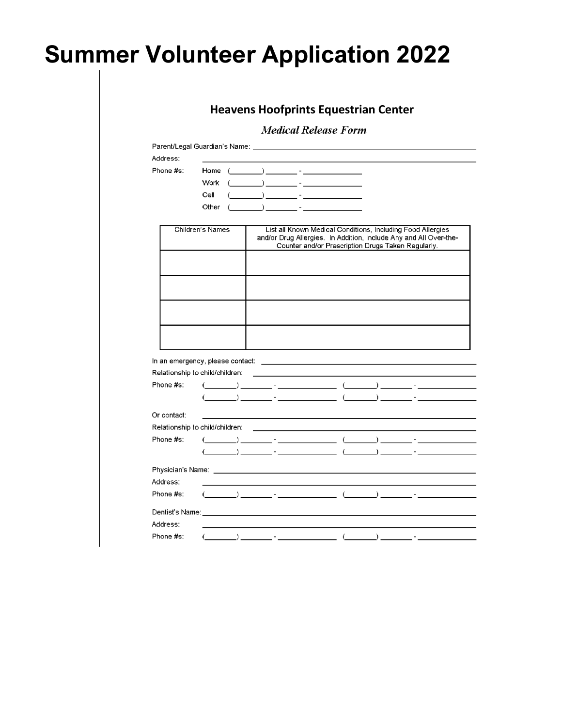|             |                                 |                                                                                                                                                                                                                                                                                                                                                                                                                                                                                                                                | <b>Medical Release Form</b>                                                                                                                                                            |  |
|-------------|---------------------------------|--------------------------------------------------------------------------------------------------------------------------------------------------------------------------------------------------------------------------------------------------------------------------------------------------------------------------------------------------------------------------------------------------------------------------------------------------------------------------------------------------------------------------------|----------------------------------------------------------------------------------------------------------------------------------------------------------------------------------------|--|
|             |                                 |                                                                                                                                                                                                                                                                                                                                                                                                                                                                                                                                |                                                                                                                                                                                        |  |
| Address:    |                                 |                                                                                                                                                                                                                                                                                                                                                                                                                                                                                                                                |                                                                                                                                                                                        |  |
| Phone #s:   |                                 |                                                                                                                                                                                                                                                                                                                                                                                                                                                                                                                                |                                                                                                                                                                                        |  |
|             | Work                            | $\begin{picture}(150,10) \put(0,0){\line(1,0){10}} \put(15,0){\line(1,0){10}} \put(15,0){\line(1,0){10}} \put(15,0){\line(1,0){10}} \put(15,0){\line(1,0){10}} \put(15,0){\line(1,0){10}} \put(15,0){\line(1,0){10}} \put(15,0){\line(1,0){10}} \put(15,0){\line(1,0){10}} \put(15,0){\line(1,0){10}} \put(15,0){\line(1,0){10}} \put(15,0){\line($                                                                                                                                                                            |                                                                                                                                                                                        |  |
|             | Cell                            |                                                                                                                                                                                                                                                                                                                                                                                                                                                                                                                                |                                                                                                                                                                                        |  |
|             | Other                           |                                                                                                                                                                                                                                                                                                                                                                                                                                                                                                                                |                                                                                                                                                                                        |  |
|             | Children's Names                |                                                                                                                                                                                                                                                                                                                                                                                                                                                                                                                                | List all Known Medical Conditions, Including Food Allergies<br>and/or Drug Allergies. In Addition, Include Any and All Over-the-<br>Counter and/or Prescription Drugs Taken Regularly. |  |
|             |                                 |                                                                                                                                                                                                                                                                                                                                                                                                                                                                                                                                |                                                                                                                                                                                        |  |
|             |                                 |                                                                                                                                                                                                                                                                                                                                                                                                                                                                                                                                |                                                                                                                                                                                        |  |
|             |                                 |                                                                                                                                                                                                                                                                                                                                                                                                                                                                                                                                |                                                                                                                                                                                        |  |
|             |                                 |                                                                                                                                                                                                                                                                                                                                                                                                                                                                                                                                |                                                                                                                                                                                        |  |
|             |                                 |                                                                                                                                                                                                                                                                                                                                                                                                                                                                                                                                |                                                                                                                                                                                        |  |
|             |                                 |                                                                                                                                                                                                                                                                                                                                                                                                                                                                                                                                |                                                                                                                                                                                        |  |
| Phone #s:   |                                 | $\begin{picture}(150,10) \put(0,0){\vector(1,0){100}} \put(15,0){\vector(1,0){100}} \put(15,0){\vector(1,0){100}} \put(15,0){\vector(1,0){100}} \put(15,0){\vector(1,0){100}} \put(15,0){\vector(1,0){100}} \put(15,0){\vector(1,0){100}} \put(15,0){\vector(1,0){100}} \put(15,0){\vector(1,0){100}} \put(15,0){\vector(1,0){100}} \put(15,0){\vector(1,0){100}}$                                                                                                                                                             |                                                                                                                                                                                        |  |
|             |                                 |                                                                                                                                                                                                                                                                                                                                                                                                                                                                                                                                |                                                                                                                                                                                        |  |
| Or contact: |                                 |                                                                                                                                                                                                                                                                                                                                                                                                                                                                                                                                |                                                                                                                                                                                        |  |
|             | Relationship to child/children: |                                                                                                                                                                                                                                                                                                                                                                                                                                                                                                                                | the control of the control of the control of the control of the control of the control of                                                                                              |  |
| Phone #s:   |                                 | $(\hspace{2mm}\underline{\hspace{2mm}}\hspace{2mm})\hspace{2mm}\underline{\hspace{2mm}}\hspace{2mm}\cdot\hspace{2mm}\underline{\hspace{2mm}}\hspace{2mm}\cdot\hspace{2mm}\underline{\hspace{2mm}}\hspace{2mm}\cdot\hspace{2mm}\underline{\hspace{2mm}}\hspace{2mm}\cdot\hspace{2mm}\underline{\hspace{2mm}}\hspace{2mm}\cdot\hspace{2mm}\underline{\hspace{2mm}}\hspace{2mm}\cdot\hspace{2mm}\underline{\hspace{2mm}}\hspace{2mm}\cdot\hspace{2mm}\underline{\hspace{2mm}}\hspace{2mm}\cdot\hspace{2mm}\underline{\hspace{2mm$ |                                                                                                                                                                                        |  |
|             |                                 |                                                                                                                                                                                                                                                                                                                                                                                                                                                                                                                                |                                                                                                                                                                                        |  |
|             |                                 |                                                                                                                                                                                                                                                                                                                                                                                                                                                                                                                                |                                                                                                                                                                                        |  |
| Address:    |                                 | the control of the control of the control of the control of the control of the control of                                                                                                                                                                                                                                                                                                                                                                                                                                      |                                                                                                                                                                                        |  |
| Phone #s:   |                                 | $\begin{picture}(150,10) \put(0,0){\vector(1,0){100}} \put(15,0){\vector(1,0){100}} \put(15,0){\vector(1,0){100}} \put(15,0){\vector(1,0){100}} \put(15,0){\vector(1,0){100}} \put(15,0){\vector(1,0){100}} \put(15,0){\vector(1,0){100}} \put(15,0){\vector(1,0){100}} \put(15,0){\vector(1,0){100}} \put(15,0){\vector(1,0){100}} \put(15,0){\vector(1,0){100}}$                                                                                                                                                             |                                                                                                                                                                                        |  |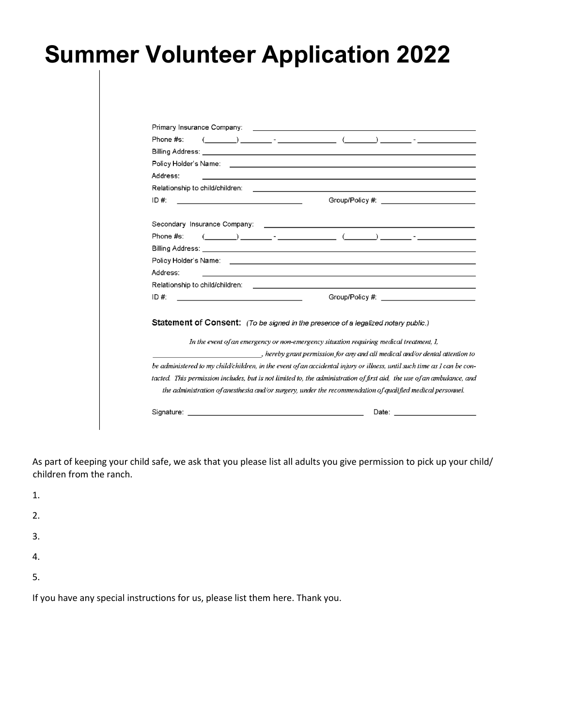|           | Primary Insurance Company:                                                                                                                                                                                                                                                                                                                                         |                                                             | <u> 1989 - Johann Barbara, martxa eta politikaria (h. 1989).</u>                                                                                                                                                               |
|-----------|--------------------------------------------------------------------------------------------------------------------------------------------------------------------------------------------------------------------------------------------------------------------------------------------------------------------------------------------------------------------|-------------------------------------------------------------|--------------------------------------------------------------------------------------------------------------------------------------------------------------------------------------------------------------------------------|
| Phone #s: | $\begin{picture}(150,10) \put(0,0){\vector(1,0){100}} \put(15,0){\vector(1,0){100}} \put(15,0){\vector(1,0){100}} \put(15,0){\vector(1,0){100}} \put(15,0){\vector(1,0){100}} \put(15,0){\vector(1,0){100}} \put(15,0){\vector(1,0){100}} \put(15,0){\vector(1,0){100}} \put(15,0){\vector(1,0){100}} \put(15,0){\vector(1,0){100}} \put(15,0){\vector(1,0){100}}$ |                                                             |                                                                                                                                                                                                                                |
|           |                                                                                                                                                                                                                                                                                                                                                                    |                                                             |                                                                                                                                                                                                                                |
|           |                                                                                                                                                                                                                                                                                                                                                                    |                                                             |                                                                                                                                                                                                                                |
| Address:  |                                                                                                                                                                                                                                                                                                                                                                    |                                                             |                                                                                                                                                                                                                                |
|           |                                                                                                                                                                                                                                                                                                                                                                    |                                                             |                                                                                                                                                                                                                                |
| ID#       | <u> 1999 - Johann Barn, mars ann an t-Amhain ann an t-</u>                                                                                                                                                                                                                                                                                                         |                                                             | Group/Policy #: __________________________                                                                                                                                                                                     |
|           | Secondary Insurance Company: Cambridge Company and Cambridge Company and Cambridge Company and Cambridge Company                                                                                                                                                                                                                                                   |                                                             |                                                                                                                                                                                                                                |
| Phone #s: |                                                                                                                                                                                                                                                                                                                                                                    |                                                             |                                                                                                                                                                                                                                |
|           |                                                                                                                                                                                                                                                                                                                                                                    |                                                             |                                                                                                                                                                                                                                |
|           |                                                                                                                                                                                                                                                                                                                                                                    |                                                             |                                                                                                                                                                                                                                |
| Address:  |                                                                                                                                                                                                                                                                                                                                                                    | <u> 1989 - Johann Stoff, amerikansk politiker (d. 1989)</u> |                                                                                                                                                                                                                                |
|           | Relationship to child/children: etc. by the control of the control of the control of the control of the control of the control of the control of the control of the control of the control of the control of the control of th                                                                                                                                     |                                                             |                                                                                                                                                                                                                                |
| ID #:     |                                                                                                                                                                                                                                                                                                                                                                    |                                                             | Group/Policy #: Care and Contract and Contract of the Contract of the Contract of the Contract of the Contract of the Contract of the Contract of the Contract of the Contract of the Contract of the Contract of the Contract |
|           | Statement of Consent: (To be signed in the presence of a legalized notary public.)<br>In the event of an emergency or non-emergency situation requiring medical treatment, I,                                                                                                                                                                                      |                                                             |                                                                                                                                                                                                                                |
|           |                                                                                                                                                                                                                                                                                                                                                                    |                                                             | , hereby grant permission for any and all medical and/or dental attention to                                                                                                                                                   |
|           | be administered to my child/children, in the event of an accidental injury or illness, until such time as I can be con-                                                                                                                                                                                                                                            |                                                             |                                                                                                                                                                                                                                |
|           | tacted. This permission includes, but is not limited to, the administration of first aid, the use of an ambulance, and                                                                                                                                                                                                                                             |                                                             |                                                                                                                                                                                                                                |
|           | the administration of anesthesia and/or surgery, under the recommendation of qualified medical personnel.                                                                                                                                                                                                                                                          |                                                             |                                                                                                                                                                                                                                |

As part of keeping your child safe, we ask that you please list all adults you give permission to pick up your child/ children from the ranch.

1.

- 2.
- 3.
- 4.
- 5.

If you have any special instructions for us, please list them here. Thank you.